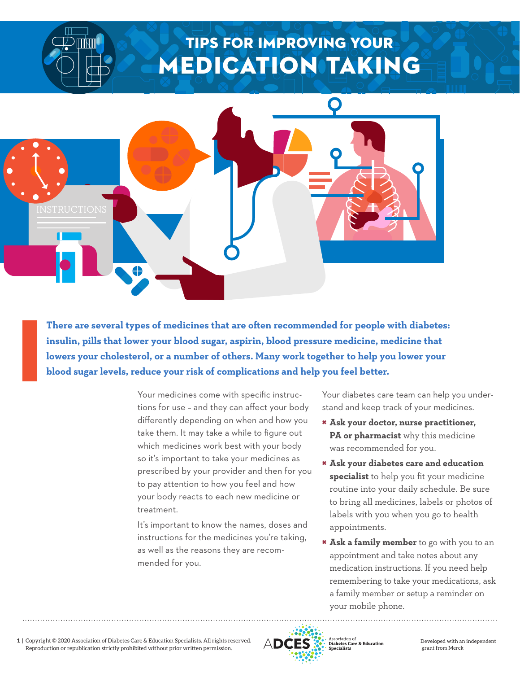## TIPS FOR IMPROVING YOUR MEDICATION Taking



**There are several types of medicines that are often recommended for people with diabetes: insulin, pills that lower your blood sugar, aspirin, blood pressure medicine, medicine that lowers your cholesterol, or a number of others. Many work together to help you lower your blood sugar levels, reduce your risk of complications and help you feel better.** 

> Your medicines come with specific instructions for use – and they can affect your body differently depending on when and how you take them. It may take a while to figure out which medicines work best with your body so it's important to take your medicines as prescribed by your provider and then for you to pay attention to how you feel and how your body reacts to each new medicine or treatment.

It's important to know the names, doses and instructions for the medicines you're taking, as well as the reasons they are recommended for you.

Your diabetes care team can help you understand and keep track of your medicines.

- × **Ask your doctor, nurse practitioner, PA or pharmacist** why this medicine was recommended for you.
- × **Ask your diabetes care and education specialist** to help you fit your medicine routine into your daily schedule. Be sure to bring all medicines, labels or photos of labels with you when you go to health appointments.
- × **Ask a family member** to go with you to an appointment and take notes about any medication instructions. If you need help remembering to take your medications, ask a family member or setup a reminder on your mobile phone.

**1** | Copyright © 2020 Association of Diabetes Care & Education Specialists. All rights reserved. Reproduction or republication strictly prohibited without prior written permission.



Association of<br>**Diabetes Care & Education**<br>**Specialists** 

Developed with an independent grant from Merck